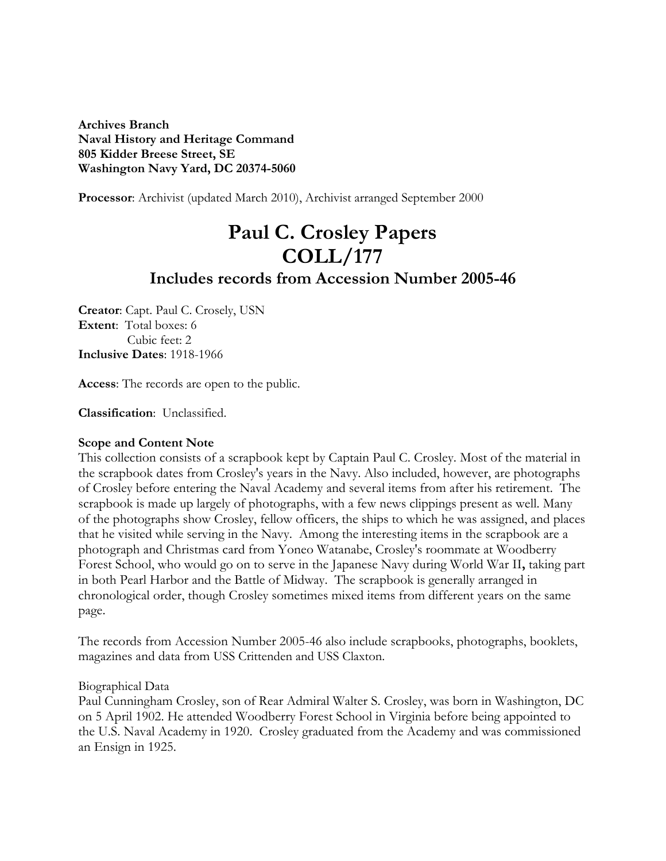**Archives Branch Naval History and Heritage Command 805 Kidder Breese Street, SE Washington Navy Yard, DC 20374-5060** 

**Processor**: Archivist (updated March 2010), Archivist arranged September 2000

# **Paul C. Crosley Papers COLL/177 Includes records from Accession Number 2005-46**

**Creator**: Capt. Paul C. Crosely, USN **Extent**: Total boxes: 6 Cubic feet: 2 **Inclusive Dates**: 1918-1966

**Access**: The records are open to the public.

**Classification**: Unclassified.

#### **Scope and Content Note**

This collection consists of a scrapbook kept by Captain Paul C. Crosley. Most of the material in the scrapbook dates from Crosley's years in the Navy. Also included, however, are photographs of Crosley before entering the Naval Academy and several items from after his retirement. The scrapbook is made up largely of photographs, with a few news clippings present as well. Many of the photographs show Crosley, fellow officers, the ships to which he was assigned, and places that he visited while serving in the Navy. Among the interesting items in the scrapbook are a photograph and Christmas card from Yoneo Watanabe, Crosley's roommate at Woodberry Forest School, who would go on to serve in the Japanese Navy during World War II**,** taking part in both Pearl Harbor and the Battle of Midway. The scrapbook is generally arranged in chronological order, though Crosley sometimes mixed items from different years on the same page.

The records from Accession Number 2005-46 also include scrapbooks, photographs, booklets, magazines and data from USS Crittenden and USS Claxton.

Biographical Data

Paul Cunningham Crosley, son of Rear Admiral Walter S. Crosley, was born in Washington, DC on 5 April 1902. He attended Woodberry Forest School in Virginia before being appointed to the U.S. Naval Academy in 1920. Crosley graduated from the Academy and was commissioned an Ensign in 1925.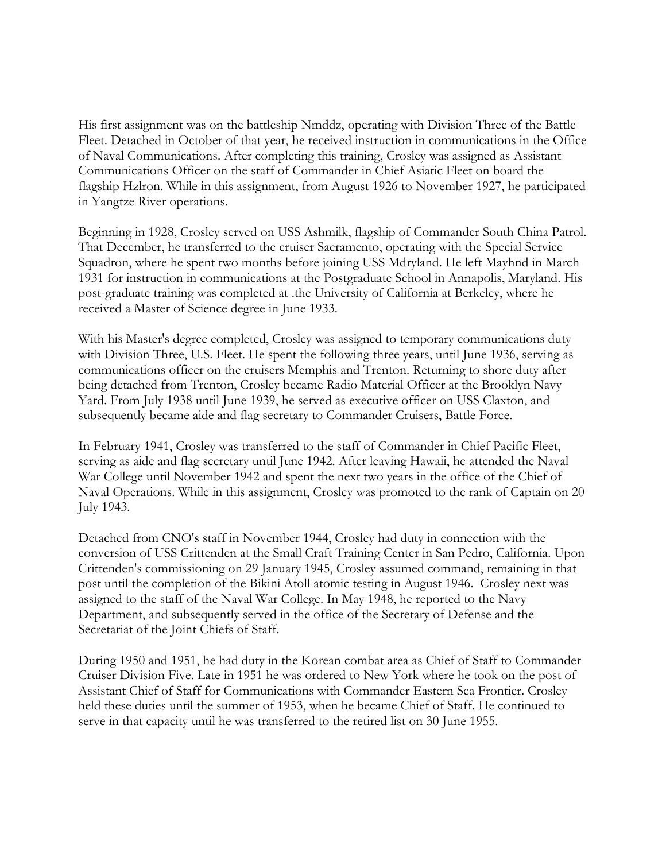His first assignment was on the battleship Nmddz, operating with Division Three of the Battle Fleet. Detached in October of that year, he received instruction in communications in the Office of Naval Communications. After completing this training, Crosley was assigned as Assistant Communications Officer on the staff of Commander in Chief Asiatic Fleet on board the flagship Hzlron. While in this assignment, from August 1926 to November 1927, he participated in Yangtze River operations.

Beginning in 1928, Crosley served on USS Ashmilk, flagship of Commander South China Patrol. That December, he transferred to the cruiser Sacramento, operating with the Special Service Squadron, where he spent two months before joining USS Mdryland. He left Mayhnd in March 1931 for instruction in communications at the Postgraduate School in Annapolis, Maryland. His post-graduate training was completed at .the University of California at Berkeley, where he received a Master of Science degree in June 1933.

With his Master's degree completed, Crosley was assigned to temporary communications duty with Division Three, U.S. Fleet. He spent the following three years, until June 1936, serving as communications officer on the cruisers Memphis and Trenton. Returning to shore duty after being detached from Trenton, Crosley became Radio Material Officer at the Brooklyn Navy Yard. From July 1938 until June 1939, he served as executive officer on USS Claxton, and subsequently became aide and flag secretary to Commander Cruisers, Battle Force.

In February 1941, Crosley was transferred to the staff of Commander in Chief Pacific Fleet, serving as aide and flag secretary until June 1942. After leaving Hawaii, he attended the Naval War College until November 1942 and spent the next two years in the office of the Chief of Naval Operations. While in this assignment, Crosley was promoted to the rank of Captain on 20 July 1943.

Detached from CNO's staff in November 1944, Crosley had duty in connection with the conversion of USS Crittenden at the Small Craft Training Center in San Pedro, California. Upon Crittenden's commissioning on 29 January 1945, Crosley assumed command, remaining in that post until the completion of the Bikini Atoll atomic testing in August 1946. Crosley next was assigned to the staff of the Naval War College. In May 1948, he reported to the Navy Department, and subsequently served in the office of the Secretary of Defense and the Secretariat of the Joint Chiefs of Staff.

During 1950 and 1951, he had duty in the Korean combat area as Chief of Staff to Commander Cruiser Division Five. Late in 1951 he was ordered to New York where he took on the post of Assistant Chief of Staff for Communications with Commander Eastern Sea Frontier. Crosley held these duties until the summer of 1953, when he became Chief of Staff. He continued to serve in that capacity until he was transferred to the retired list on 30 June 1955.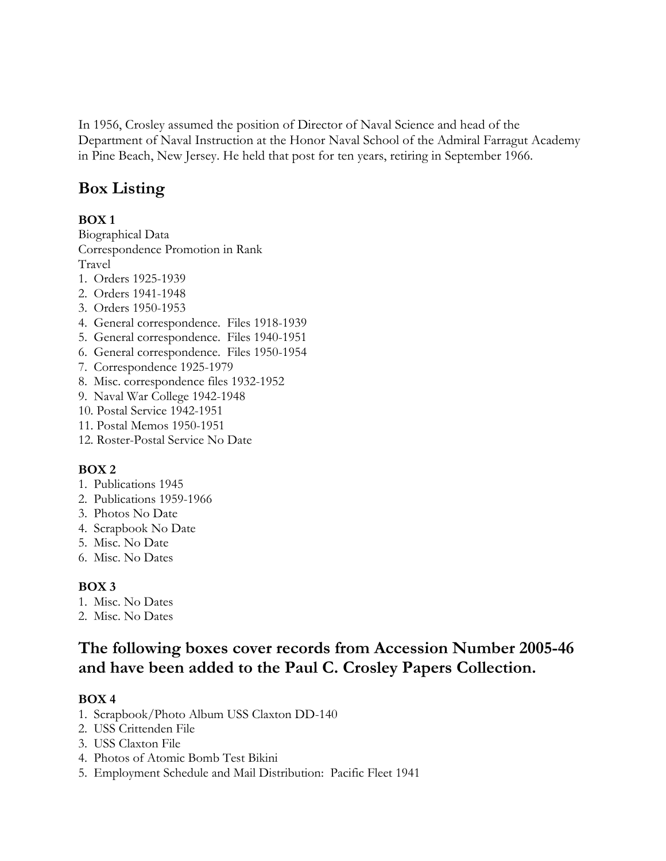In 1956, Crosley assumed the position of Director of Naval Science and head of the Department of Naval Instruction at the Honor Naval School of the Admiral Farragut Academy in Pine Beach, New Jersey. He held that post for ten years, retiring in September 1966.

## **Box Listing**

#### **BOX 1**

Biographical Data Correspondence Promotion in Rank Travel

- 1. Orders 1925-1939
- 2. Orders 1941-1948
- 3. Orders 1950-1953
- 4. General correspondence. Files 1918-1939
- 5. General correspondence. Files 1940-1951
- 6. General correspondence. Files 1950-1954
- 7. Correspondence 1925-1979
- 8. Misc. correspondence files 1932-1952
- 9. Naval War College 1942-1948
- 10. Postal Service 1942-1951
- 11. Postal Memos 1950-1951
- 12. Roster-Postal Service No Date

#### **BOX 2**

- 1. Publications 1945
- 2. Publications 1959-1966
- 3. Photos No Date
- 4. Scrapbook No Date
- 5. Misc. No Date
- 6. Misc. No Dates

### **BOX 3**

- 1. Misc. No Dates
- 2. Misc. No Dates

## **The following boxes cover records from Accession Number 2005-46 and have been added to the Paul C. Crosley Papers Collection.**

### **BOX 4**

- 1. Scrapbook/Photo Album USS Claxton DD-140
- 2. USS Crittenden File
- 3. USS Claxton File
- 4. Photos of Atomic Bomb Test Bikini
- 5. Employment Schedule and Mail Distribution: Pacific Fleet 1941